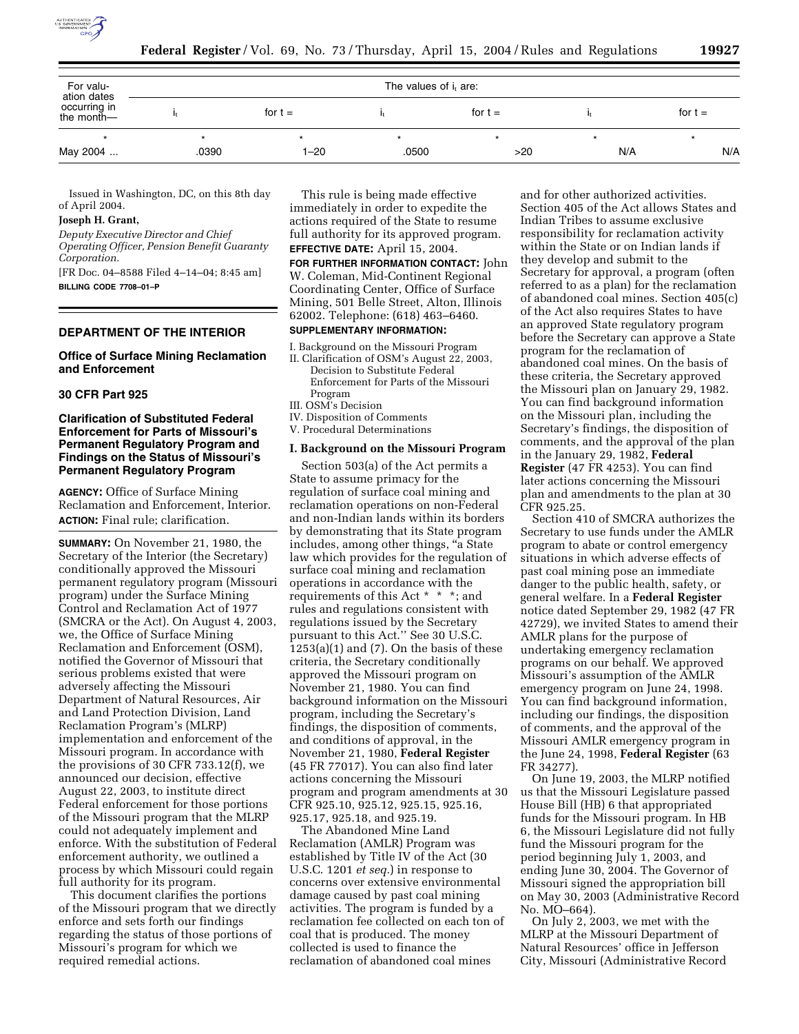

| For valu-<br>ation dates   | The values of i <sub>t</sub> are: |           |       |           |     |           |
|----------------------------|-----------------------------------|-----------|-------|-----------|-----|-----------|
| occurring in<br>the month- |                                   | for $t =$ |       | for $t =$ |     | for $t =$ |
|                            |                                   |           |       |           |     |           |
| May 2004                   | .0390                             | $-20$     | .0500 | >20       | N/A | N/A       |

Issued in Washington, DC, on this 8th day of April 2004.

#### **Joseph H. Grant,**

*Deputy Executive Director and Chief Operating Officer, Pension Benefit Guaranty Corporation.* 

[FR Doc. 04–8588 Filed 4–14–04; 8:45 am] **BILLING CODE 7708–01–P** 

#### **DEPARTMENT OF THE INTERIOR**

# **Office of Surface Mining Reclamation and Enforcement**

# **30 CFR Part 925**

# **Clarification of Substituted Federal Enforcement for Parts of Missouri's Permanent Regulatory Program and Findings on the Status of Missouri's Permanent Regulatory Program**

**AGENCY:** Office of Surface Mining Reclamation and Enforcement, Interior. **ACTION:** Final rule; clarification.

**SUMMARY:** On November 21, 1980, the Secretary of the Interior (the Secretary) conditionally approved the Missouri permanent regulatory program (Missouri program) under the Surface Mining Control and Reclamation Act of 1977 (SMCRA or the Act). On August 4, 2003, we, the Office of Surface Mining Reclamation and Enforcement (OSM), notified the Governor of Missouri that serious problems existed that were adversely affecting the Missouri Department of Natural Resources, Air and Land Protection Division, Land Reclamation Program's (MLRP) implementation and enforcement of the Missouri program. In accordance with the provisions of 30 CFR 733.12(f), we announced our decision, effective August 22, 2003, to institute direct Federal enforcement for those portions of the Missouri program that the MLRP could not adequately implement and enforce. With the substitution of Federal enforcement authority, we outlined a process by which Missouri could regain full authority for its program.

This document clarifies the portions of the Missouri program that we directly enforce and sets forth our findings regarding the status of those portions of Missouri's program for which we required remedial actions.

This rule is being made effective immediately in order to expedite the actions required of the State to resume full authority for its approved program. **EFFECTIVE DATE:** April 15, 2004.

**FOR FURTHER INFORMATION CONTACT:** John W. Coleman, Mid-Continent Regional Coordinating Center, Office of Surface Mining, 501 Belle Street, Alton, Illinois 62002. Telephone: (618) 463–6460. **SUPPLEMENTARY INFORMATION:** 

- I. Background on the Missouri Program
- II. Clarification of OSM's August 22, 2003, Decision to Substitute Federal Enforcement for Parts of the Missouri
- Program
- III. OSM's Decision
- IV. Disposition of Comments
- V. Procedural Determinations

# **I. Background on the Missouri Program**

Section 503(a) of the Act permits a State to assume primacy for the regulation of surface coal mining and reclamation operations on non-Federal and non-Indian lands within its borders by demonstrating that its State program includes, among other things, ''a State law which provides for the regulation of surface coal mining and reclamation operations in accordance with the requirements of this Act \* \* \*; and rules and regulations consistent with regulations issued by the Secretary pursuant to this Act.'' See 30 U.S.C.  $1253(a)(1)$  and  $(7)$ . On the basis of these criteria, the Secretary conditionally approved the Missouri program on November 21, 1980. You can find background information on the Missouri program, including the Secretary's findings, the disposition of comments, and conditions of approval, in the November 21, 1980, **Federal Register**  (45 FR 77017). You can also find later actions concerning the Missouri program and program amendments at 30 CFR 925.10, 925.12, 925.15, 925.16, 925.17, 925.18, and 925.19.

The Abandoned Mine Land Reclamation (AMLR) Program was established by Title IV of the Act (30 U.S.C. 1201 *et seq.*) in response to concerns over extensive environmental damage caused by past coal mining activities. The program is funded by a reclamation fee collected on each ton of coal that is produced. The money collected is used to finance the reclamation of abandoned coal mines

and for other authorized activities. Section 405 of the Act allows States and Indian Tribes to assume exclusive responsibility for reclamation activity within the State or on Indian lands if they develop and submit to the Secretary for approval, a program (often referred to as a plan) for the reclamation of abandoned coal mines. Section 405(c) of the Act also requires States to have an approved State regulatory program before the Secretary can approve a State program for the reclamation of abandoned coal mines. On the basis of these criteria, the Secretary approved the Missouri plan on January 29, 1982. You can find background information on the Missouri plan, including the Secretary's findings, the disposition of comments, and the approval of the plan in the January 29, 1982, **Federal Register** (47 FR 4253). You can find later actions concerning the Missouri plan and amendments to the plan at 30 CFR 925.25.

Section 410 of SMCRA authorizes the Secretary to use funds under the AMLR program to abate or control emergency situations in which adverse effects of past coal mining pose an immediate danger to the public health, safety, or general welfare. In a **Federal Register**  notice dated September 29, 1982 (47 FR 42729), we invited States to amend their AMLR plans for the purpose of undertaking emergency reclamation programs on our behalf. We approved Missouri's assumption of the AMLR emergency program on June 24, 1998. You can find background information, including our findings, the disposition of comments, and the approval of the Missouri AMLR emergency program in the June 24, 1998, **Federal Register** (63 FR 34277).

On June 19, 2003, the MLRP notified us that the Missouri Legislature passed House Bill (HB) 6 that appropriated funds for the Missouri program. In HB 6, the Missouri Legislature did not fully fund the Missouri program for the period beginning July 1, 2003, and ending June 30, 2004. The Governor of Missouri signed the appropriation bill on May 30, 2003 (Administrative Record No. MO–664).

On July 2, 2003, we met with the MLRP at the Missouri Department of Natural Resources' office in Jefferson City, Missouri (Administrative Record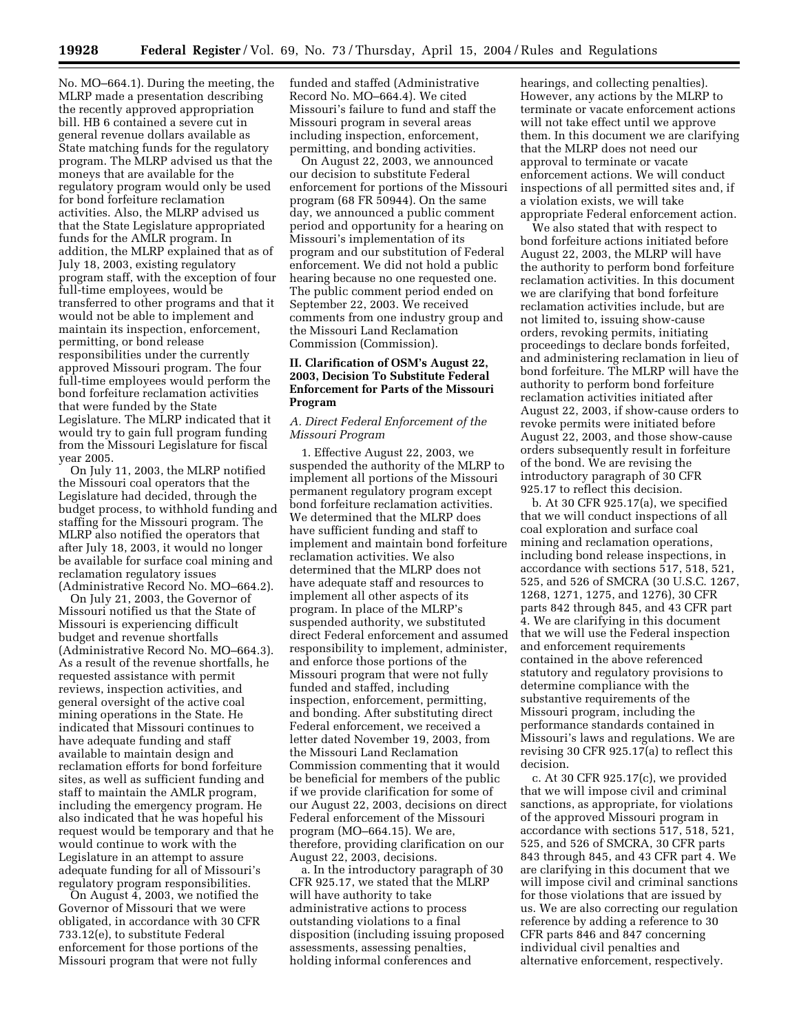No. MO–664.1). During the meeting, the MLRP made a presentation describing the recently approved appropriation bill. HB 6 contained a severe cut in general revenue dollars available as State matching funds for the regulatory program. The MLRP advised us that the moneys that are available for the regulatory program would only be used for bond forfeiture reclamation activities. Also, the MLRP advised us that the State Legislature appropriated funds for the AMLR program. In addition, the MLRP explained that as of July 18, 2003, existing regulatory program staff, with the exception of four full-time employees, would be transferred to other programs and that it would not be able to implement and maintain its inspection, enforcement, permitting, or bond release responsibilities under the currently approved Missouri program. The four full-time employees would perform the bond forfeiture reclamation activities that were funded by the State Legislature. The MLRP indicated that it would try to gain full program funding from the Missouri Legislature for fiscal year 2005.

On July 11, 2003, the MLRP notified the Missouri coal operators that the Legislature had decided, through the budget process, to withhold funding and staffing for the Missouri program. The MLRP also notified the operators that after July 18, 2003, it would no longer be available for surface coal mining and reclamation regulatory issues (Administrative Record No. MO–664.2).

On July 21, 2003, the Governor of Missouri notified us that the State of Missouri is experiencing difficult budget and revenue shortfalls (Administrative Record No. MO–664.3). As a result of the revenue shortfalls, he requested assistance with permit reviews, inspection activities, and general oversight of the active coal mining operations in the State. He indicated that Missouri continues to have adequate funding and staff available to maintain design and reclamation efforts for bond forfeiture sites, as well as sufficient funding and staff to maintain the AMLR program, including the emergency program. He also indicated that he was hopeful his request would be temporary and that he would continue to work with the Legislature in an attempt to assure adequate funding for all of Missouri's regulatory program responsibilities.

On August 4, 2003, we notified the Governor of Missouri that we were obligated, in accordance with 30 CFR 733.12(e), to substitute Federal enforcement for those portions of the Missouri program that were not fully

funded and staffed (Administrative Record No. MO–664.4). We cited Missouri's failure to fund and staff the Missouri program in several areas including inspection, enforcement, permitting, and bonding activities.

On August 22, 2003, we announced our decision to substitute Federal enforcement for portions of the Missouri program (68 FR 50944). On the same day, we announced a public comment period and opportunity for a hearing on Missouri's implementation of its program and our substitution of Federal enforcement. We did not hold a public hearing because no one requested one. The public comment period ended on September 22, 2003. We received comments from one industry group and the Missouri Land Reclamation Commission (Commission).

# **II. Clarification of OSM's August 22, 2003, Decision To Substitute Federal Enforcement for Parts of the Missouri Program**

# *A. Direct Federal Enforcement of the Missouri Program*

1. Effective August 22, 2003, we suspended the authority of the MLRP to implement all portions of the Missouri permanent regulatory program except bond forfeiture reclamation activities. We determined that the MLRP does have sufficient funding and staff to implement and maintain bond forfeiture reclamation activities. We also determined that the MLRP does not have adequate staff and resources to implement all other aspects of its program. In place of the MLRP's suspended authority, we substituted direct Federal enforcement and assumed responsibility to implement, administer, and enforce those portions of the Missouri program that were not fully funded and staffed, including inspection, enforcement, permitting, and bonding. After substituting direct Federal enforcement, we received a letter dated November 19, 2003, from the Missouri Land Reclamation Commission commenting that it would be beneficial for members of the public if we provide clarification for some of our August 22, 2003, decisions on direct Federal enforcement of the Missouri program (MO–664.15). We are, therefore, providing clarification on our August 22, 2003, decisions.

a. In the introductory paragraph of 30 CFR 925.17, we stated that the MLRP will have authority to take administrative actions to process outstanding violations to a final disposition (including issuing proposed assessments, assessing penalties, holding informal conferences and

hearings, and collecting penalties). However, any actions by the MLRP to terminate or vacate enforcement actions will not take effect until we approve them. In this document we are clarifying that the MLRP does not need our approval to terminate or vacate enforcement actions. We will conduct inspections of all permitted sites and, if a violation exists, we will take appropriate Federal enforcement action.

We also stated that with respect to bond forfeiture actions initiated before August 22, 2003, the MLRP will have the authority to perform bond forfeiture reclamation activities. In this document we are clarifying that bond forfeiture reclamation activities include, but are not limited to, issuing show-cause orders, revoking permits, initiating proceedings to declare bonds forfeited, and administering reclamation in lieu of bond forfeiture. The MLRP will have the authority to perform bond forfeiture reclamation activities initiated after August 22, 2003, if show-cause orders to revoke permits were initiated before August 22, 2003, and those show-cause orders subsequently result in forfeiture of the bond. We are revising the introductory paragraph of 30 CFR 925.17 to reflect this decision.

b. At 30 CFR 925.17(a), we specified that we will conduct inspections of all coal exploration and surface coal mining and reclamation operations, including bond release inspections, in accordance with sections 517, 518, 521, 525, and 526 of SMCRA (30 U.S.C. 1267, 1268, 1271, 1275, and 1276), 30 CFR parts 842 through 845, and 43 CFR part 4. We are clarifying in this document that we will use the Federal inspection and enforcement requirements contained in the above referenced statutory and regulatory provisions to determine compliance with the substantive requirements of the Missouri program, including the performance standards contained in Missouri's laws and regulations. We are revising 30 CFR 925.17(a) to reflect this decision.

c. At 30 CFR 925.17(c), we provided that we will impose civil and criminal sanctions, as appropriate, for violations of the approved Missouri program in accordance with sections 517, 518, 521, 525, and 526 of SMCRA, 30 CFR parts 843 through 845, and 43 CFR part 4. We are clarifying in this document that we will impose civil and criminal sanctions for those violations that are issued by us. We are also correcting our regulation reference by adding a reference to 30 CFR parts 846 and 847 concerning individual civil penalties and alternative enforcement, respectively.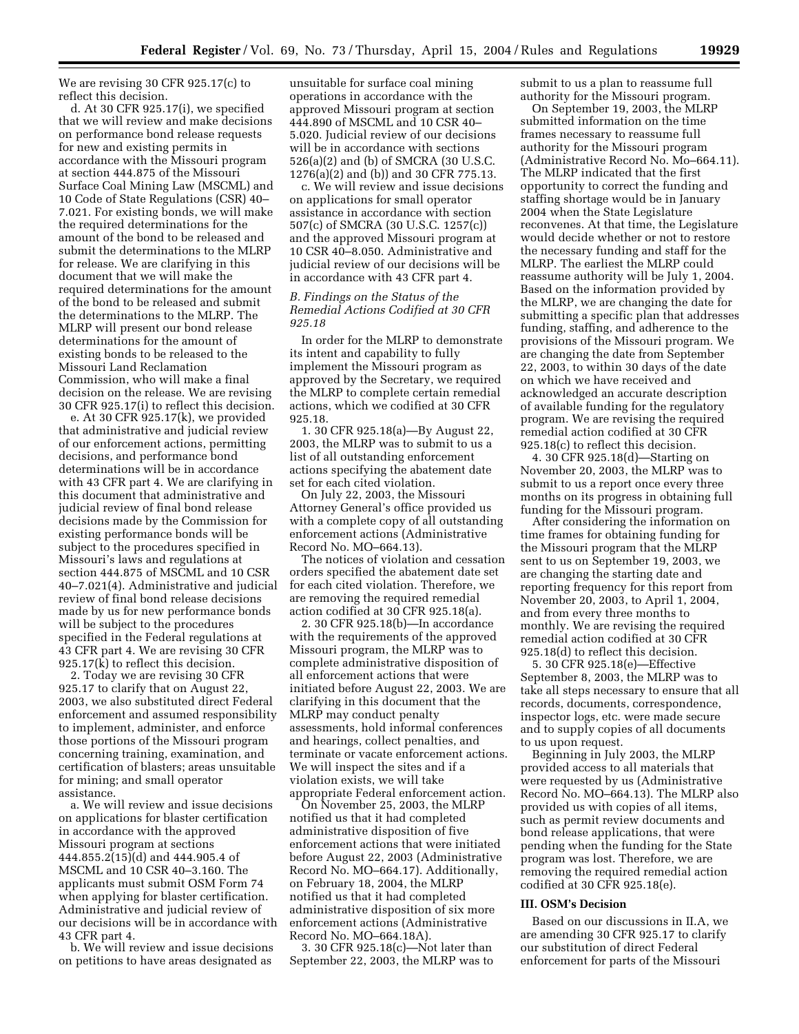We are revising 30 CFR 925.17(c) to reflect this decision.

d. At 30 CFR 925.17(i), we specified that we will review and make decisions on performance bond release requests for new and existing permits in accordance with the Missouri program at section 444.875 of the Missouri Surface Coal Mining Law (MSCML) and 10 Code of State Regulations (CSR) 40– 7.021. For existing bonds, we will make the required determinations for the amount of the bond to be released and submit the determinations to the MLRP for release. We are clarifying in this document that we will make the required determinations for the amount of the bond to be released and submit the determinations to the MLRP. The MLRP will present our bond release determinations for the amount of existing bonds to be released to the Missouri Land Reclamation Commission, who will make a final decision on the release. We are revising 30 CFR 925.17(i) to reflect this decision.

e. At 30 CFR 925.17(k), we provided that administrative and judicial review of our enforcement actions, permitting decisions, and performance bond determinations will be in accordance with 43 CFR part 4. We are clarifying in this document that administrative and judicial review of final bond release decisions made by the Commission for existing performance bonds will be subject to the procedures specified in Missouri's laws and regulations at section 444.875 of MSCML and 10 CSR 40–7.021(4). Administrative and judicial review of final bond release decisions made by us for new performance bonds will be subject to the procedures specified in the Federal regulations at 43 CFR part 4. We are revising 30 CFR 925.17(k) to reflect this decision.

2. Today we are revising 30 CFR 925.17 to clarify that on August 22, 2003, we also substituted direct Federal enforcement and assumed responsibility to implement, administer, and enforce those portions of the Missouri program concerning training, examination, and certification of blasters; areas unsuitable for mining; and small operator assistance.

a. We will review and issue decisions on applications for blaster certification in accordance with the approved Missouri program at sections 444.855.2(15)(d) and 444.905.4 of MSCML and 10 CSR 40–3.160. The applicants must submit OSM Form 74 when applying for blaster certification. Administrative and judicial review of our decisions will be in accordance with 43 CFR part 4.

b. We will review and issue decisions on petitions to have areas designated as

unsuitable for surface coal mining operations in accordance with the approved Missouri program at section 444.890 of MSCML and 10 CSR 40– 5.020. Judicial review of our decisions will be in accordance with sections 526(a)(2) and (b) of SMCRA (30 U.S.C. 1276(a)(2) and (b)) and 30 CFR 775.13.

c. We will review and issue decisions on applications for small operator assistance in accordance with section 507(c) of SMCRA (30 U.S.C. 1257(c)) and the approved Missouri program at 10 CSR 40–8.050. Administrative and judicial review of our decisions will be in accordance with 43 CFR part 4.

# *B. Findings on the Status of the Remedial Actions Codified at 30 CFR 925.18*

In order for the MLRP to demonstrate its intent and capability to fully implement the Missouri program as approved by the Secretary, we required the MLRP to complete certain remedial actions, which we codified at 30 CFR 925.18.

1. 30 CFR 925.18(a)—By August 22, 2003, the MLRP was to submit to us a list of all outstanding enforcement actions specifying the abatement date set for each cited violation.

On July 22, 2003, the Missouri Attorney General's office provided us with a complete copy of all outstanding enforcement actions (Administrative Record No. MO–664.13).

The notices of violation and cessation orders specified the abatement date set for each cited violation. Therefore, we are removing the required remedial action codified at 30 CFR 925.18(a).

2. 30 CFR 925.18(b)—In accordance with the requirements of the approved Missouri program, the MLRP was to complete administrative disposition of all enforcement actions that were initiated before August 22, 2003. We are clarifying in this document that the MLRP may conduct penalty assessments, hold informal conferences and hearings, collect penalties, and terminate or vacate enforcement actions. We will inspect the sites and if a violation exists, we will take appropriate Federal enforcement action.

On November 25, 2003, the MLRP notified us that it had completed administrative disposition of five enforcement actions that were initiated before August 22, 2003 (Administrative Record No. MO–664.17). Additionally, on February 18, 2004, the MLRP notified us that it had completed administrative disposition of six more enforcement actions (Administrative Record No. MO–664.18A).

3. 30 CFR 925.18(c)—Not later than September 22, 2003, the MLRP was to submit to us a plan to reassume full authority for the Missouri program.

On September 19, 2003, the MLRP submitted information on the time frames necessary to reassume full authority for the Missouri program (Administrative Record No. Mo–664.11). The MLRP indicated that the first opportunity to correct the funding and staffing shortage would be in January 2004 when the State Legislature reconvenes. At that time, the Legislature would decide whether or not to restore the necessary funding and staff for the MLRP. The earliest the MLRP could reassume authority will be July 1, 2004. Based on the information provided by the MLRP, we are changing the date for submitting a specific plan that addresses funding, staffing, and adherence to the provisions of the Missouri program. We are changing the date from September 22, 2003, to within 30 days of the date on which we have received and acknowledged an accurate description of available funding for the regulatory program. We are revising the required remedial action codified at 30 CFR 925.18(c) to reflect this decision.

4. 30 CFR 925.18(d)—Starting on November 20, 2003, the MLRP was to submit to us a report once every three months on its progress in obtaining full funding for the Missouri program.

After considering the information on time frames for obtaining funding for the Missouri program that the MLRP sent to us on September 19, 2003, we are changing the starting date and reporting frequency for this report from November 20, 2003, to April 1, 2004, and from every three months to monthly. We are revising the required remedial action codified at 30 CFR 925.18(d) to reflect this decision.

5. 30 CFR 925.18(e)—Effective September 8, 2003, the MLRP was to take all steps necessary to ensure that all records, documents, correspondence, inspector logs, etc. were made secure and to supply copies of all documents to us upon request.

Beginning in July 2003, the MLRP provided access to all materials that were requested by us (Administrative Record No. MO–664.13). The MLRP also provided us with copies of all items, such as permit review documents and bond release applications, that were pending when the funding for the State program was lost. Therefore, we are removing the required remedial action codified at 30 CFR 925.18(e).

#### **III. OSM's Decision**

Based on our discussions in II.A, we are amending 30 CFR 925.17 to clarify our substitution of direct Federal enforcement for parts of the Missouri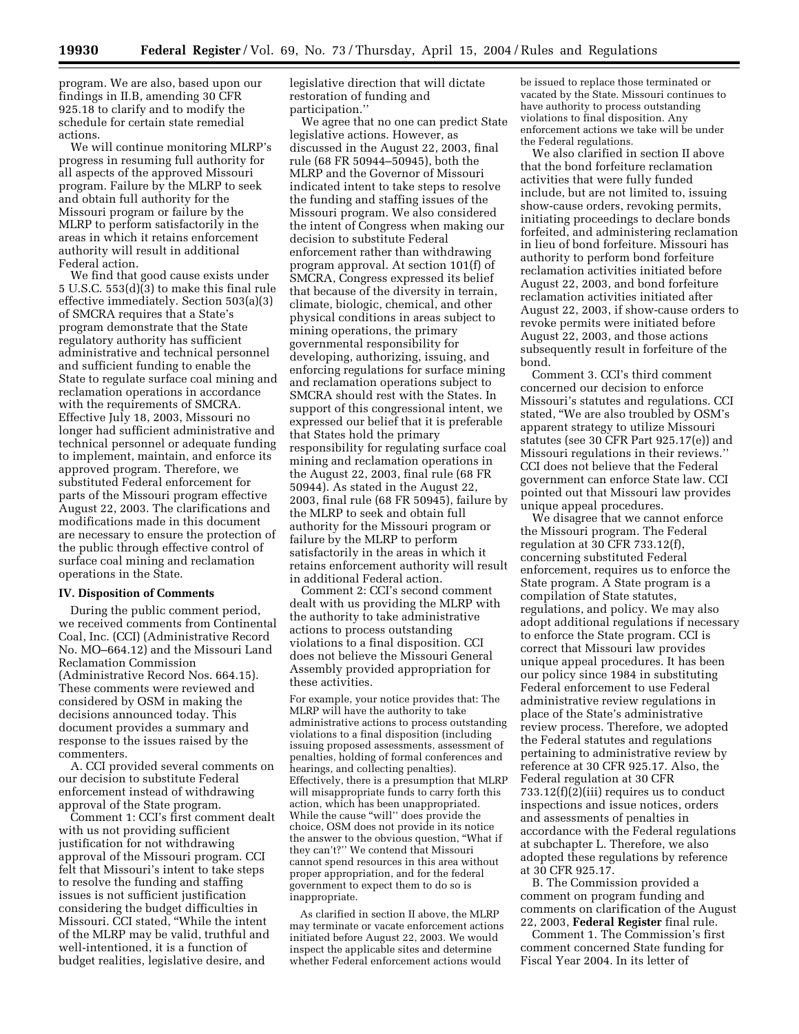program. We are also, based upon our findings in II.B, amending 30 CFR 925.18 to clarify and to modify the schedule for certain state remedial actions.

We will continue monitoring MLRP's progress in resuming full authority for all aspects of the approved Missouri program. Failure by the MLRP to seek and obtain full authority for the Missouri program or failure by the MLRP to perform satisfactorily in the areas in which it retains enforcement authority will result in additional Federal action.

We find that good cause exists under 5 U.S.C. 553(d)(3) to make this final rule effective immediately. Section 503(a)(3) of SMCRA requires that a State's program demonstrate that the State regulatory authority has sufficient administrative and technical personnel and sufficient funding to enable the State to regulate surface coal mining and reclamation operations in accordance with the requirements of SMCRA. Effective July 18, 2003, Missouri no longer had sufficient administrative and technical personnel or adequate funding to implement, maintain, and enforce its approved program. Therefore, we substituted Federal enforcement for parts of the Missouri program effective August 22, 2003. The clarifications and modifications made in this document are necessary to ensure the protection of the public through effective control of surface coal mining and reclamation operations in the State.

#### **IV. Disposition of Comments**

During the public comment period, we received comments from Continental Coal, Inc. (CCI) (Administrative Record No. MO–664.12) and the Missouri Land Reclamation Commission (Administrative Record Nos. 664.15). These comments were reviewed and considered by OSM in making the decisions announced today. This document provides a summary and response to the issues raised by the commenters.

A. CCI provided several comments on our decision to substitute Federal enforcement instead of withdrawing approval of the State program.

Comment 1: CCI's first comment dealt with us not providing sufficient justification for not withdrawing approval of the Missouri program. CCI felt that Missouri's intent to take steps to resolve the funding and staffing issues is not sufficient justification considering the budget difficulties in Missouri. CCI stated, ''While the intent of the MLRP may be valid, truthful and well-intentioned, it is a function of budget realities, legislative desire, and

legislative direction that will dictate restoration of funding and participation.''

We agree that no one can predict State legislative actions. However, as discussed in the August 22, 2003, final rule (68 FR 50944–50945), both the MLRP and the Governor of Missouri indicated intent to take steps to resolve the funding and staffing issues of the Missouri program. We also considered the intent of Congress when making our decision to substitute Federal enforcement rather than withdrawing program approval. At section 101(f) of SMCRA, Congress expressed its belief that because of the diversity in terrain, climate, biologic, chemical, and other physical conditions in areas subject to mining operations, the primary governmental responsibility for developing, authorizing, issuing, and enforcing regulations for surface mining and reclamation operations subject to SMCRA should rest with the States. In support of this congressional intent, we expressed our belief that it is preferable that States hold the primary responsibility for regulating surface coal mining and reclamation operations in the August 22, 2003, final rule (68 FR 50944). As stated in the August 22, 2003, final rule (68 FR 50945), failure by the MLRP to seek and obtain full authority for the Missouri program or failure by the MLRP to perform satisfactorily in the areas in which it retains enforcement authority will result in additional Federal action.

Comment 2: CCI's second comment dealt with us providing the MLRP with the authority to take administrative actions to process outstanding violations to a final disposition. CCI does not believe the Missouri General Assembly provided appropriation for these activities.

For example, your notice provides that: The MLRP will have the authority to take administrative actions to process outstanding violations to a final disposition (including issuing proposed assessments, assessment of penalties, holding of formal conferences and hearings, and collecting penalties). Effectively, there is a presumption that MLRP will misappropriate funds to carry forth this action, which has been unappropriated. While the cause "will" does provide the choice, OSM does not provide in its notice the answer to the obvious question, ''What if they can't?'' We contend that Missouri cannot spend resources in this area without proper appropriation, and for the federal government to expect them to do so is inappropriate.

As clarified in section II above, the MLRP may terminate or vacate enforcement actions initiated before August 22, 2003. We would inspect the applicable sites and determine whether Federal enforcement actions would

be issued to replace those terminated or vacated by the State. Missouri continues to have authority to process outstanding violations to final disposition. Any enforcement actions we take will be under the Federal regulations.

We also clarified in section II above that the bond forfeiture reclamation activities that were fully funded include, but are not limited to, issuing show-cause orders, revoking permits, initiating proceedings to declare bonds forfeited, and administering reclamation in lieu of bond forfeiture. Missouri has authority to perform bond forfeiture reclamation activities initiated before August 22, 2003, and bond forfeiture reclamation activities initiated after August 22, 2003, if show-cause orders to revoke permits were initiated before August 22, 2003, and those actions subsequently result in forfeiture of the bond.

Comment 3. CCI's third comment concerned our decision to enforce Missouri's statutes and regulations. CCI stated, ''We are also troubled by OSM's apparent strategy to utilize Missouri statutes (see 30 CFR Part 925.17(e)) and Missouri regulations in their reviews.'' CCI does not believe that the Federal government can enforce State law. CCI pointed out that Missouri law provides unique appeal procedures.

We disagree that we cannot enforce the Missouri program. The Federal regulation at 30 CFR 733.12(f), concerning substituted Federal enforcement, requires us to enforce the State program. A State program is a compilation of State statutes, regulations, and policy. We may also adopt additional regulations if necessary to enforce the State program. CCI is correct that Missouri law provides unique appeal procedures. It has been our policy since 1984 in substituting Federal enforcement to use Federal administrative review regulations in place of the State's administrative review process. Therefore, we adopted the Federal statutes and regulations pertaining to administrative review by reference at 30 CFR 925.17. Also, the Federal regulation at 30 CFR 733.12(f)(2)(iii) requires us to conduct inspections and issue notices, orders and assessments of penalties in accordance with the Federal regulations at subchapter L. Therefore, we also adopted these regulations by reference at 30 CFR 925.17.

B. The Commission provided a comment on program funding and comments on clarification of the August 22, 2003, **Federal Register** final rule.

Comment 1. The Commission's first comment concerned State funding for Fiscal Year 2004. In its letter of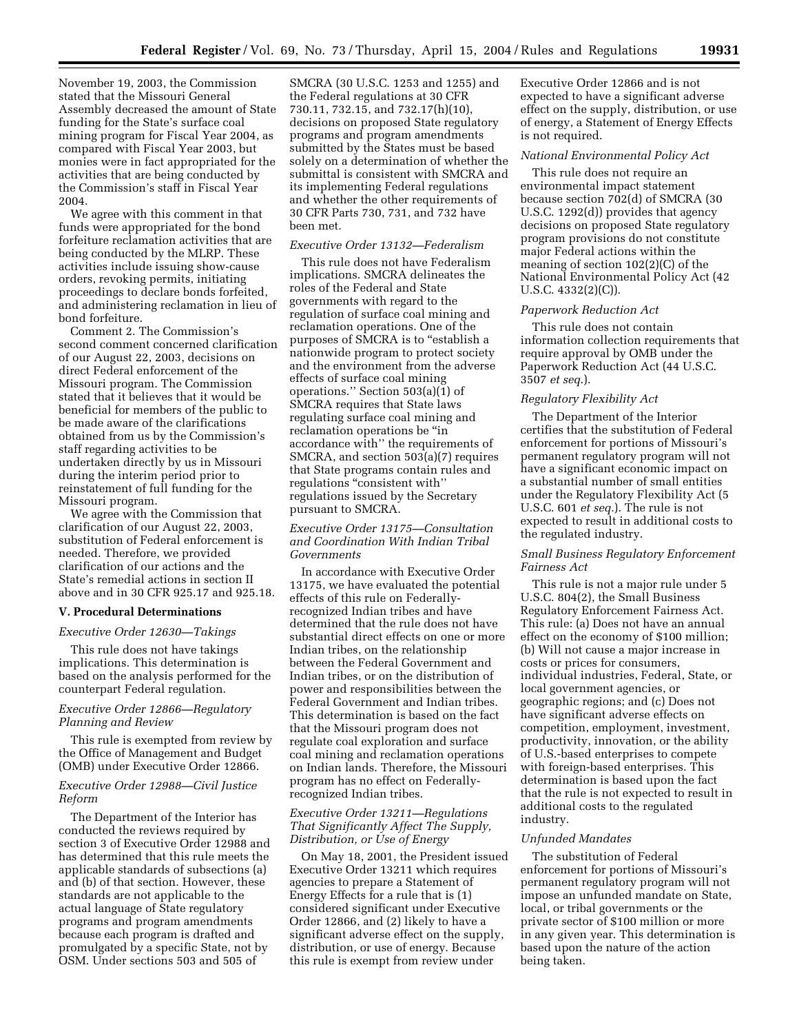November 19, 2003, the Commission stated that the Missouri General Assembly decreased the amount of State funding for the State's surface coal mining program for Fiscal Year 2004, as compared with Fiscal Year 2003, but monies were in fact appropriated for the activities that are being conducted by the Commission's staff in Fiscal Year 2004.

We agree with this comment in that funds were appropriated for the bond forfeiture reclamation activities that are being conducted by the MLRP. These activities include issuing show-cause orders, revoking permits, initiating proceedings to declare bonds forfeited, and administering reclamation in lieu of bond forfeiture.

Comment 2. The Commission's second comment concerned clarification of our August 22, 2003, decisions on direct Federal enforcement of the Missouri program. The Commission stated that it believes that it would be beneficial for members of the public to be made aware of the clarifications obtained from us by the Commission's staff regarding activities to be undertaken directly by us in Missouri during the interim period prior to reinstatement of full funding for the Missouri program.

We agree with the Commission that clarification of our August 22, 2003, substitution of Federal enforcement is needed. Therefore, we provided clarification of our actions and the State's remedial actions in section II above and in 30 CFR 925.17 and 925.18.

#### **V. Procedural Determinations**

# *Executive Order 12630—Takings*

This rule does not have takings implications. This determination is based on the analysis performed for the counterpart Federal regulation.

# *Executive Order 12866—Regulatory Planning and Review*

This rule is exempted from review by the Office of Management and Budget (OMB) under Executive Order 12866.

#### *Executive Order 12988—Civil Justice Reform*

The Department of the Interior has conducted the reviews required by section 3 of Executive Order 12988 and has determined that this rule meets the applicable standards of subsections (a) and (b) of that section. However, these standards are not applicable to the actual language of State regulatory programs and program amendments because each program is drafted and promulgated by a specific State, not by OSM. Under sections 503 and 505 of

SMCRA (30 U.S.C. 1253 and 1255) and the Federal regulations at 30 CFR 730.11, 732.15, and 732.17(h)(10), decisions on proposed State regulatory programs and program amendments submitted by the States must be based solely on a determination of whether the submittal is consistent with SMCRA and its implementing Federal regulations and whether the other requirements of 30 CFR Parts 730, 731, and 732 have been met.

# *Executive Order 13132—Federalism*

This rule does not have Federalism implications. SMCRA delineates the roles of the Federal and State governments with regard to the regulation of surface coal mining and reclamation operations. One of the purposes of SMCRA is to "establish a nationwide program to protect society and the environment from the adverse effects of surface coal mining operations.'' Section 503(a)(1) of SMCRA requires that State laws regulating surface coal mining and reclamation operations be ''in accordance with'' the requirements of SMCRA, and section 503(a)(7) requires that State programs contain rules and regulations ''consistent with'' regulations issued by the Secretary pursuant to SMCRA.

# *Executive Order 13175—Consultation and Coordination With Indian Tribal Governments*

In accordance with Executive Order 13175, we have evaluated the potential effects of this rule on Federallyrecognized Indian tribes and have determined that the rule does not have substantial direct effects on one or more Indian tribes, on the relationship between the Federal Government and Indian tribes, or on the distribution of power and responsibilities between the Federal Government and Indian tribes. This determination is based on the fact that the Missouri program does not regulate coal exploration and surface coal mining and reclamation operations on Indian lands. Therefore, the Missouri program has no effect on Federallyrecognized Indian tribes.

# *Executive Order 13211—Regulations That Significantly Affect The Supply, Distribution, or Use of Energy*

On May 18, 2001, the President issued Executive Order 13211 which requires agencies to prepare a Statement of Energy Effects for a rule that is (1) considered significant under Executive Order 12866, and (2) likely to have a significant adverse effect on the supply, distribution, or use of energy. Because this rule is exempt from review under

Executive Order 12866 and is not expected to have a significant adverse effect on the supply, distribution, or use of energy, a Statement of Energy Effects is not required.

#### *National Environmental Policy Act*

This rule does not require an environmental impact statement because section 702(d) of SMCRA (30 U.S.C. 1292(d)) provides that agency decisions on proposed State regulatory program provisions do not constitute major Federal actions within the meaning of section 102(2)(C) of the National Environmental Policy Act (42 U.S.C. 4332(2)(C)).

### *Paperwork Reduction Act*

This rule does not contain information collection requirements that require approval by OMB under the Paperwork Reduction Act (44 U.S.C. 3507 *et seq*.).

#### *Regulatory Flexibility Act*

The Department of the Interior certifies that the substitution of Federal enforcement for portions of Missouri's permanent regulatory program will not have a significant economic impact on a substantial number of small entities under the Regulatory Flexibility Act (5 U.S.C. 601 *et seq.*). The rule is not expected to result in additional costs to the regulated industry.

# *Small Business Regulatory Enforcement Fairness Act*

This rule is not a major rule under 5 U.S.C. 804(2), the Small Business Regulatory Enforcement Fairness Act. This rule: (a) Does not have an annual effect on the economy of \$100 million; (b) Will not cause a major increase in costs or prices for consumers, individual industries, Federal, State, or local government agencies, or geographic regions; and (c) Does not have significant adverse effects on competition, employment, investment, productivity, innovation, or the ability of U.S.-based enterprises to compete with foreign-based enterprises. This determination is based upon the fact that the rule is not expected to result in additional costs to the regulated industry.

#### *Unfunded Mandates*

The substitution of Federal enforcement for portions of Missouri's permanent regulatory program will not impose an unfunded mandate on State, local, or tribal governments or the private sector of \$100 million or more in any given year. This determination is based upon the nature of the action being taken.